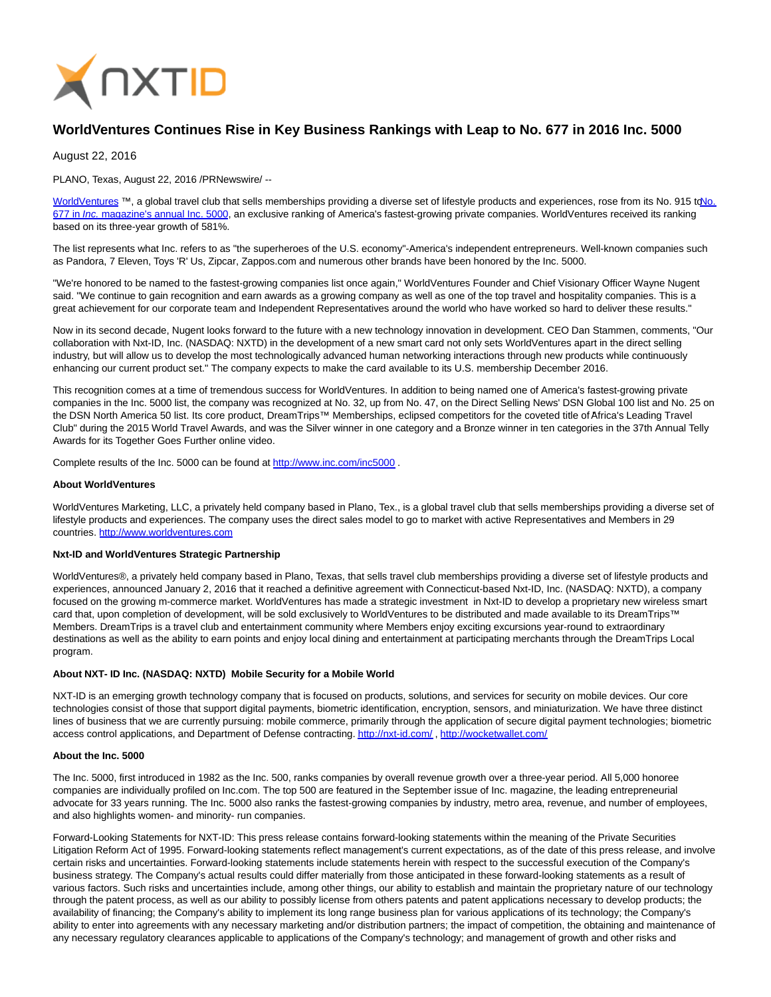

# **WorldVentures Continues Rise in Key Business Rankings with Leap to No. 677 in 2016 Inc. 5000**

August 22, 2016

PLANO, Texas, August 22, 2016 /PRNewswire/ --

[WorldVentures](http://www.worldventures.com/) ™, a global travel club that sells memberships providing a diverse set of lifestyle products and experiences, rose from its No. 915 to No. 677 in Inc. [magazine's annual Inc. 5000, an exclusive ranking of America's fastest-growing private companies. WorldVentures received its ranking](http://www.inc.com/profile/worldventures?cid=full500016-list-677) based on its three-year growth of 581%.

The list represents what Inc. refers to as "the superheroes of the U.S. economy"-America's independent entrepreneurs. Well-known companies such as Pandora, 7 Eleven, Toys 'R' Us, Zipcar, Zappos.com and numerous other brands have been honored by the Inc. 5000.

"We're honored to be named to the fastest-growing companies list once again," WorldVentures Founder and Chief Visionary Officer Wayne Nugent said. "We continue to gain recognition and earn awards as a growing company as well as one of the top travel and hospitality companies. This is a great achievement for our corporate team and Independent Representatives around the world who have worked so hard to deliver these results."

Now in its second decade, Nugent looks forward to the future with a new technology innovation in development. CEO Dan Stammen, comments, "Our collaboration with Nxt-ID, Inc. (NASDAQ: NXTD) in the development of a new smart card not only sets WorldVentures apart in the direct selling industry, but will allow us to develop the most technologically advanced human networking interactions through new products while continuously enhancing our current product set." The company expects to make the card available to its U.S. membership December 2016.

This recognition comes at a time of tremendous success for WorldVentures. In addition to being named one of America's fastest-growing private companies in the Inc. 5000 list, the company was recognized at No. 32, up from No. 47, on the Direct Selling News' DSN Global 100 list and No. 25 on the DSN North America 50 list. Its core product, DreamTrips™ Memberships, eclipsed competitors for the coveted title of Africa's Leading Travel Club" during the 2015 World Travel Awards, and was the Silver winner in one category and a Bronze winner in ten categories in the 37th Annual Telly Awards for its Together Goes Further online video.

Complete results of the Inc. 5000 can be found at [http://www.inc.com/inc5000 .](http://www.inc.com/inc5000)

#### **About WorldVentures**

WorldVentures Marketing, LLC, a privately held company based in Plano, Tex., is a global travel club that sells memberships providing a diverse set of lifestyle products and experiences. The company uses the direct sales model to go to market with active Representatives and Members in 29 countries. [http://www.worldventures.com](http://www.worldventures.com/)

## **Nxt-ID and WorldVentures Strategic Partnership**

WorldVentures®, a privately held company based in Plano, Texas, that sells travel club memberships providing a diverse set of lifestyle products and experiences, announced January 2, 2016 that it reached a definitive agreement with Connecticut-based Nxt-ID, Inc. (NASDAQ: NXTD), a company focused on the growing m-commerce market. WorldVentures has made a strategic investment in Nxt-ID to develop a proprietary new wireless smart card that, upon completion of development, will be sold exclusively to WorldVentures to be distributed and made available to its DreamTrips™ Members. DreamTrips is a travel club and entertainment community where Members enjoy exciting excursions year-round to extraordinary destinations as well as the ability to earn points and enjoy local dining and entertainment at participating merchants through the DreamTrips Local program.

## **About NXT- ID Inc. (NASDAQ: NXTD) Mobile Security for a Mobile World**

NXT-ID is an emerging growth technology company that is focused on products, solutions, and services for security on mobile devices. Our core technologies consist of those that support digital payments, biometric identification, encryption, sensors, and miniaturization. We have three distinct lines of business that we are currently pursuing: mobile commerce, primarily through the application of secure digital payment technologies; biometric access control applications, and Department of Defense contracting[. http://nxt-id.com/ ,](http://nxt-id.com/)<http://wocketwallet.com/>

#### **About the Inc. 5000**

The Inc. 5000, first introduced in 1982 as the Inc. 500, ranks companies by overall revenue growth over a three-year period. All 5,000 honoree companies are individually profiled on Inc.com. The top 500 are featured in the September issue of Inc. magazine, the leading entrepreneurial advocate for 33 years running. The Inc. 5000 also ranks the fastest-growing companies by industry, metro area, revenue, and number of employees, and also highlights women- and minority- run companies.

Forward-Looking Statements for NXT-ID: This press release contains forward-looking statements within the meaning of the Private Securities Litigation Reform Act of 1995. Forward-looking statements reflect management's current expectations, as of the date of this press release, and involve certain risks and uncertainties. Forward-looking statements include statements herein with respect to the successful execution of the Company's business strategy. The Company's actual results could differ materially from those anticipated in these forward-looking statements as a result of various factors. Such risks and uncertainties include, among other things, our ability to establish and maintain the proprietary nature of our technology through the patent process, as well as our ability to possibly license from others patents and patent applications necessary to develop products; the availability of financing; the Company's ability to implement its long range business plan for various applications of its technology; the Company's ability to enter into agreements with any necessary marketing and/or distribution partners; the impact of competition, the obtaining and maintenance of any necessary regulatory clearances applicable to applications of the Company's technology; and management of growth and other risks and